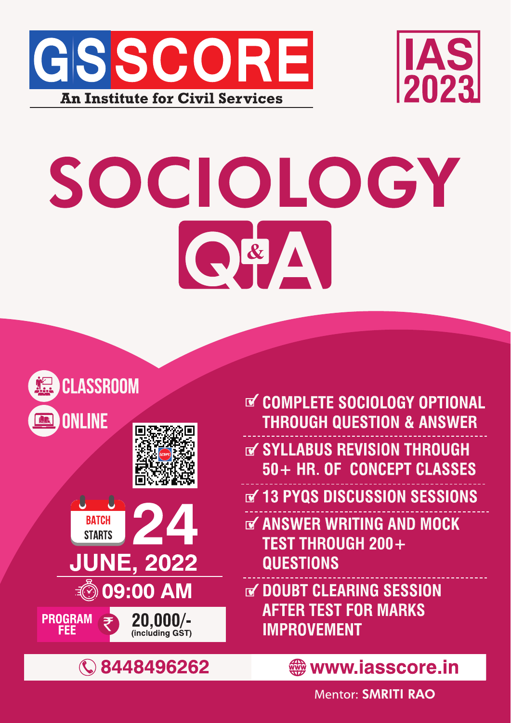



# SOCIOLOGY O<sup>&</sup>



**PROGRAM** 







- **THROUGH** SYLLABUS REVISION THROUGH 50+ HR. OF CONCEPT CLASSES
- V 13 PYQS DISCUSSION SESSIONS
- **THE ANSWER WRITING AND MOCK TEST THROUGH 200+ QUESTIONS**
- V DOUBT CLEARING SESSION **AFTER TEST FOR MARKS IMPROVEMENT**



 $20,000/$ -

www.iasscore.in

**Mentor: SMRITI RAO**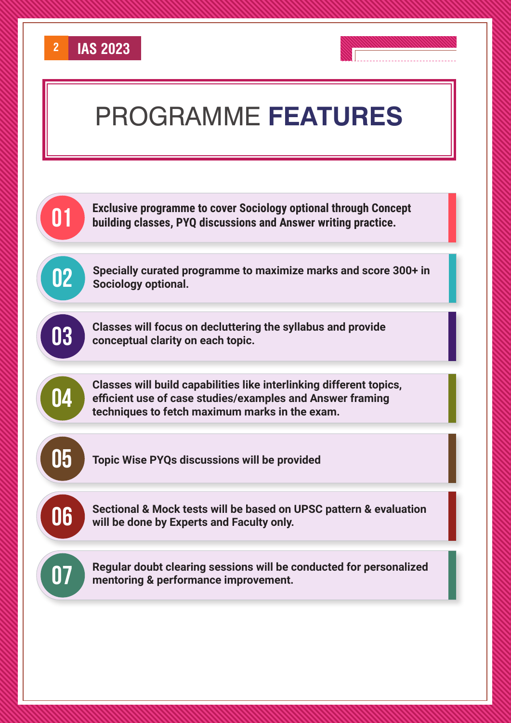





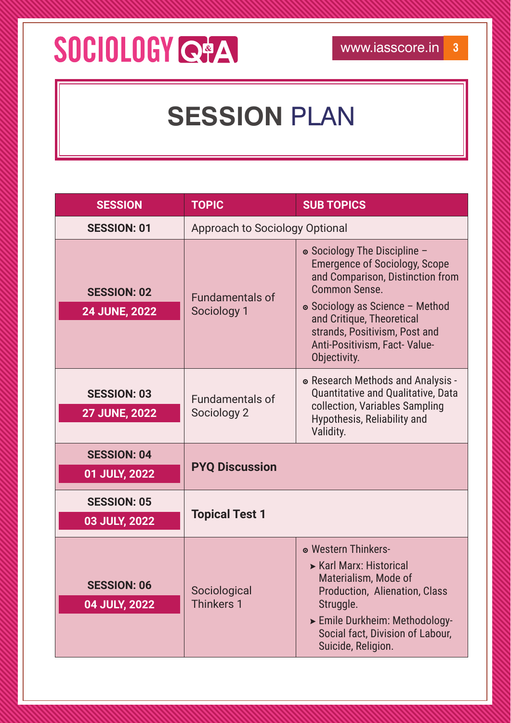#### SOCIOLOGY C+A

#### **SESSION PLAN**

| <b>SESSION</b>                             | <b>TOPIC</b>                          | <b>SUB TOPICS</b>                                                                                                                                                                                                                                                                 |
|--------------------------------------------|---------------------------------------|-----------------------------------------------------------------------------------------------------------------------------------------------------------------------------------------------------------------------------------------------------------------------------------|
| <b>SESSION: 01</b>                         | <b>Approach to Sociology Optional</b> |                                                                                                                                                                                                                                                                                   |
| <b>SESSION: 02</b><br><b>24 JUNE, 2022</b> | <b>Fundamentals of</b><br>Sociology 1 | • Sociology The Discipline -<br><b>Emergence of Sociology, Scope</b><br>and Comparison, Distinction from<br><b>Common Sense.</b><br>• Sociology as Science - Method<br>and Critique, Theoretical<br>strands, Positivism, Post and<br>Anti-Positivism, Fact-Value-<br>Objectivity. |
| <b>SESSION: 03</b><br><b>27 JUNE, 2022</b> | <b>Fundamentals of</b><br>Sociology 2 | • Research Methods and Analysis -<br>Quantitative and Qualitative, Data<br>collection, Variables Sampling<br>Hypothesis, Reliability and<br>Validity.                                                                                                                             |
| <b>SESSION: 04</b><br>01 JULY, 2022        | <b>PYQ Discussion</b>                 |                                                                                                                                                                                                                                                                                   |
| <b>SESSION: 05</b><br>03 JULY, 2022        | <b>Topical Test 1</b>                 |                                                                                                                                                                                                                                                                                   |
| <b>SESSION: 06</b><br>04 JULY, 2022        | Sociological<br><b>Thinkers 1</b>     | • Western Thinkers-<br>► Karl Marx: Historical<br>Materialism, Mode of<br>Production, Alienation, Class<br>Struggle.<br>> Emile Durkheim: Methodology-<br>Social fact, Division of Labour,<br>Suicide, Religion.                                                                  |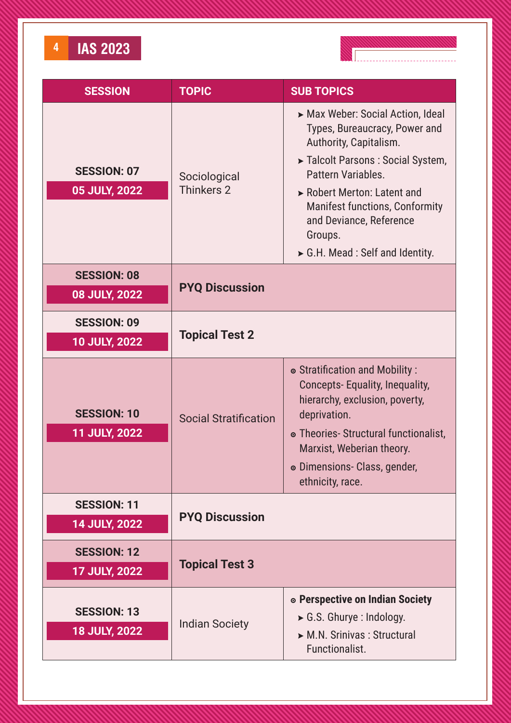

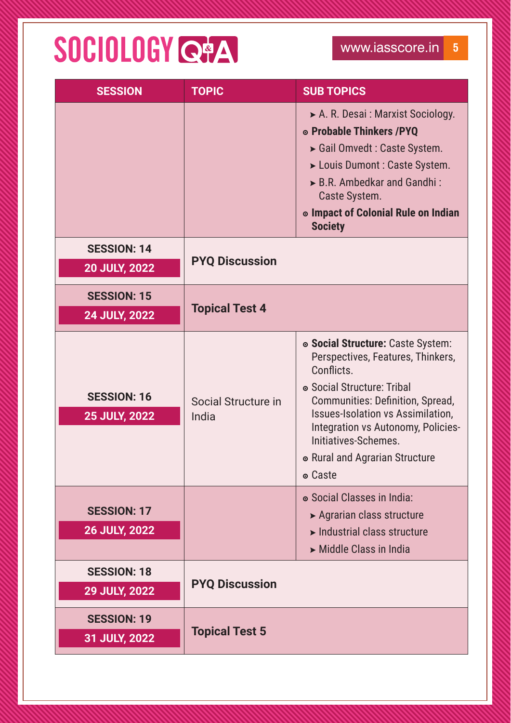## SOCIOLOGY Q#A

| <b>SESSION</b>                             | <b>TOPIC</b>                 | <b>SUB TOPICS</b>                                                                                                                                                                                                                                                                                                    |
|--------------------------------------------|------------------------------|----------------------------------------------------------------------------------------------------------------------------------------------------------------------------------------------------------------------------------------------------------------------------------------------------------------------|
|                                            |                              | A. R. Desai : Marxist Sociology.<br>◎ Probable Thinkers / PYQ<br>Gail Omvedt: Caste System.<br>> Louis Dumont : Caste System.<br>B.R. Ambedkar and Gandhi:<br>Caste System.<br>o Impact of Colonial Rule on Indian<br><b>Society</b>                                                                                 |
| <b>SESSION: 14</b><br><b>20 JULY, 2022</b> | <b>PYQ Discussion</b>        |                                                                                                                                                                                                                                                                                                                      |
| <b>SESSION: 15</b><br><b>24 JULY, 2022</b> | <b>Topical Test 4</b>        |                                                                                                                                                                                                                                                                                                                      |
| <b>SESSION: 16</b><br><b>25 JULY, 2022</b> | Social Structure in<br>India | • Social Structure: Caste System:<br>Perspectives, Features, Thinkers,<br>Conflicts.<br>• Social Structure: Tribal<br>Communities: Definition, Spread,<br><b>Issues-Isolation vs Assimilation,</b><br>Integration vs Autonomy, Policies-<br>Initiatives-Schemes.<br>• Rural and Agrarian Structure<br><b>○ Caste</b> |
| <b>SESSION: 17</b><br><b>26 JULY, 2022</b> |                              | • Social Classes in India:<br>▶ Agrarian class structure<br>$\blacktriangleright$ Industrial class structure<br>Middle Class in India                                                                                                                                                                                |
| <b>SESSION: 18</b><br>29 JULY, 2022        | <b>PYQ Discussion</b>        |                                                                                                                                                                                                                                                                                                                      |
| <b>SESSION: 19</b><br>31 JULY, 2022        | <b>Topical Test 5</b>        |                                                                                                                                                                                                                                                                                                                      |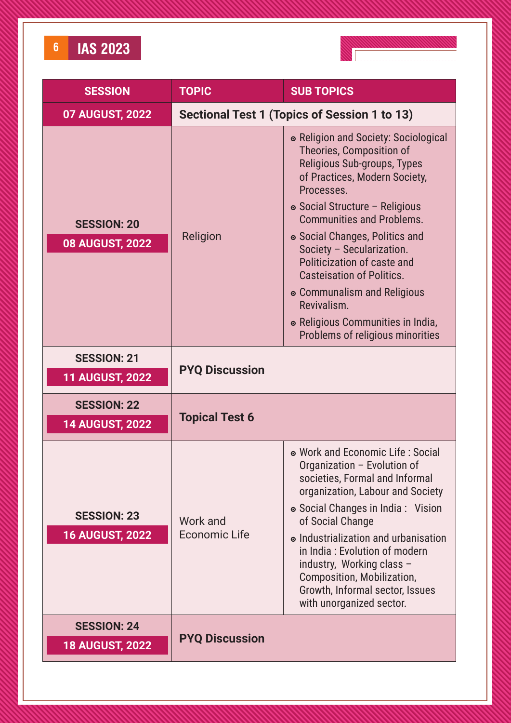



| <b>SESSION</b>                               | <b>TOPIC</b>                     | <b>SUB TOPICS</b>                                                                                                                                                                                                                                                                                                                                                                                                                                                             |
|----------------------------------------------|----------------------------------|-------------------------------------------------------------------------------------------------------------------------------------------------------------------------------------------------------------------------------------------------------------------------------------------------------------------------------------------------------------------------------------------------------------------------------------------------------------------------------|
| <b>07 AUGUST, 2022</b>                       |                                  | Sectional Test 1 (Topics of Session 1 to 13)                                                                                                                                                                                                                                                                                                                                                                                                                                  |
| <b>SESSION: 20</b><br><b>08 AUGUST, 2022</b> | Religion                         | • Religion and Society: Sociological<br>Theories, Composition of<br>Religious Sub-groups, Types<br>of Practices, Modern Society,<br>Processes.<br>• Social Structure - Religious<br><b>Communities and Problems.</b><br>• Social Changes, Politics and<br>Society - Secularization.<br>Politicization of caste and<br><b>Casteisation of Politics.</b><br>• Communalism and Religious<br>Revivalism.<br>• Religious Communities in India,<br>Problems of religious minorities |
| <b>SESSION: 21</b><br><b>11 AUGUST, 2022</b> | <b>PYQ Discussion</b>            |                                                                                                                                                                                                                                                                                                                                                                                                                                                                               |
| <b>SESSION: 22</b><br><b>14 AUGUST, 2022</b> | <b>Topical Test 6</b>            |                                                                                                                                                                                                                                                                                                                                                                                                                                                                               |
| <b>SESSION: 23</b><br><b>16 AUGUST, 2022</b> | Work and<br><b>Economic Life</b> | • Work and Economic Life: Social<br>Organization - Evolution of<br>societies, Formal and Informal<br>organization, Labour and Society<br>• Social Changes in India: Vision<br>of Social Change<br>• Industrialization and urbanisation<br>in India: Evolution of modern<br>industry, Working class -<br>Composition, Mobilization,<br>Growth, Informal sector, Issues<br>with unorganized sector.                                                                             |
| <b>SESSION: 24</b><br><b>18 AUGUST, 2022</b> | <b>PYQ Discussion</b>            |                                                                                                                                                                                                                                                                                                                                                                                                                                                                               |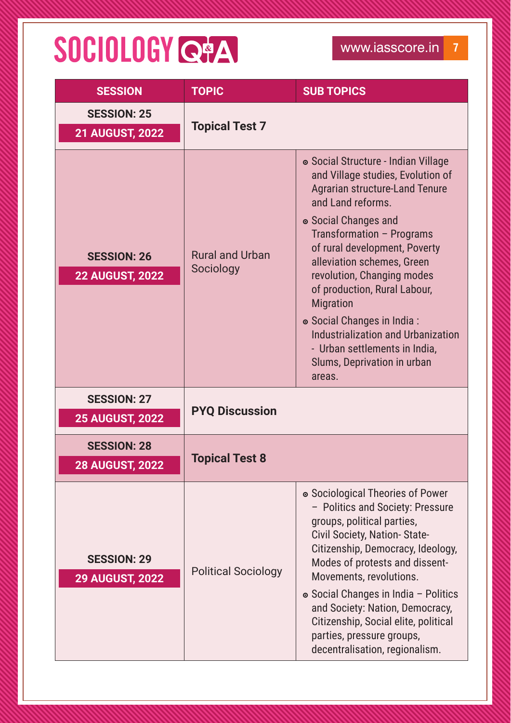## SOCIOLOGY Q#A

| <b>SESSION</b>                               | <b>TOPIC</b>                        | <b>SUB TOPICS</b>                                                                                                                                                                                                                                                                                                                                                                                                                                                                          |
|----------------------------------------------|-------------------------------------|--------------------------------------------------------------------------------------------------------------------------------------------------------------------------------------------------------------------------------------------------------------------------------------------------------------------------------------------------------------------------------------------------------------------------------------------------------------------------------------------|
| <b>SESSION: 25</b><br><b>21 AUGUST, 2022</b> | <b>Topical Test 7</b>               |                                                                                                                                                                                                                                                                                                                                                                                                                                                                                            |
| <b>SESSION: 26</b><br><b>22 AUGUST, 2022</b> | <b>Rural and Urban</b><br>Sociology | • Social Structure - Indian Village<br>and Village studies, Evolution of<br><b>Agrarian structure-Land Tenure</b><br>and Land reforms.<br>• Social Changes and<br>Transformation - Programs<br>of rural development, Poverty<br>alleviation schemes, Green<br>revolution, Changing modes<br>of production, Rural Labour,<br><b>Migration</b><br>• Social Changes in India:<br>Industrialization and Urbanization<br>- Urban settlements in India,<br>Slums, Deprivation in urban<br>areas. |
| <b>SESSION: 27</b><br><b>25 AUGUST, 2022</b> | <b>PYQ Discussion</b>               |                                                                                                                                                                                                                                                                                                                                                                                                                                                                                            |
| <b>SESSION: 28</b><br><b>28 AUGUST, 2022</b> | <b>Topical Test 8</b>               |                                                                                                                                                                                                                                                                                                                                                                                                                                                                                            |
| <b>SESSION: 29</b><br><b>29 AUGUST, 2022</b> | <b>Political Sociology</b>          | • Sociological Theories of Power<br>- Politics and Society: Pressure<br>groups, political parties,<br>Civil Society, Nation-State-<br>Citizenship, Democracy, Ideology,<br>Modes of protests and dissent-<br>Movements, revolutions.<br>• Social Changes in India - Politics<br>and Society: Nation, Democracy,<br>Citizenship, Social elite, political<br>parties, pressure groups,<br>decentralisation, regionalism.                                                                     |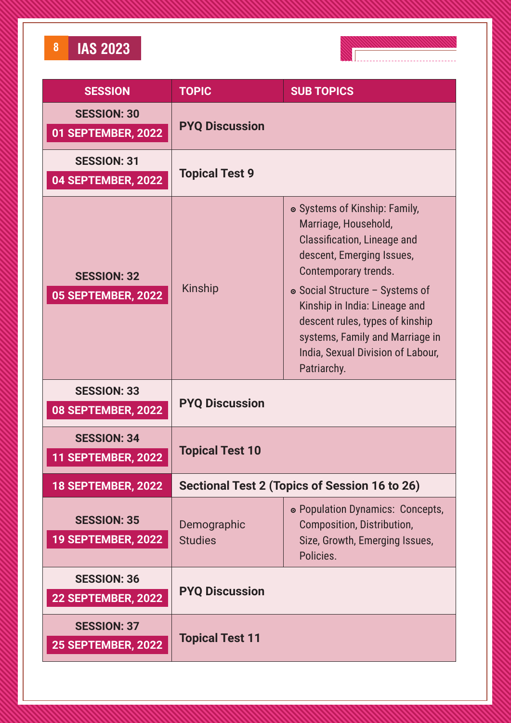**8 IAS 2023**



| <b>SESSION</b>                                  | <b>TOPIC</b>                                  | <b>SUB TOPICS</b>                                                                                                                                                                                                                                                                                                                              |
|-------------------------------------------------|-----------------------------------------------|------------------------------------------------------------------------------------------------------------------------------------------------------------------------------------------------------------------------------------------------------------------------------------------------------------------------------------------------|
| <b>SESSION: 30</b><br>01 SEPTEMBER, 2022        | <b>PYQ Discussion</b>                         |                                                                                                                                                                                                                                                                                                                                                |
| <b>SESSION: 31</b><br>04 SEPTEMBER, 2022        | <b>Topical Test 9</b>                         |                                                                                                                                                                                                                                                                                                                                                |
| <b>SESSION: 32</b><br><b>05 SEPTEMBER, 2022</b> | Kinship                                       | • Systems of Kinship: Family,<br>Marriage, Household,<br><b>Classification, Lineage and</b><br>descent, Emerging Issues,<br>Contemporary trends.<br>• Social Structure - Systems of<br>Kinship in India: Lineage and<br>descent rules, types of kinship<br>systems, Family and Marriage in<br>India, Sexual Division of Labour,<br>Patriarchy. |
| <b>SESSION: 33</b><br>08 SEPTEMBER, 2022        | <b>PYQ Discussion</b>                         |                                                                                                                                                                                                                                                                                                                                                |
| <b>SESSION: 34</b><br><b>11 SEPTEMBER, 2022</b> | <b>Topical Test 10</b>                        |                                                                                                                                                                                                                                                                                                                                                |
| <b>18 SEPTEMBER, 2022</b>                       | Sectional Test 2 (Topics of Session 16 to 26) |                                                                                                                                                                                                                                                                                                                                                |
| <b>SESSION: 35</b><br><b>19 SEPTEMBER, 2022</b> | Demographic<br><b>Studies</b>                 | • Population Dynamics: Concepts,<br>Composition, Distribution,<br>Size, Growth, Emerging Issues,<br>Policies.                                                                                                                                                                                                                                  |
| <b>SESSION: 36</b><br><b>22 SEPTEMBER, 2022</b> | <b>PYQ Discussion</b>                         |                                                                                                                                                                                                                                                                                                                                                |
| <b>SESSION: 37</b><br><b>25 SEPTEMBER, 2022</b> | <b>Topical Test 11</b>                        |                                                                                                                                                                                                                                                                                                                                                |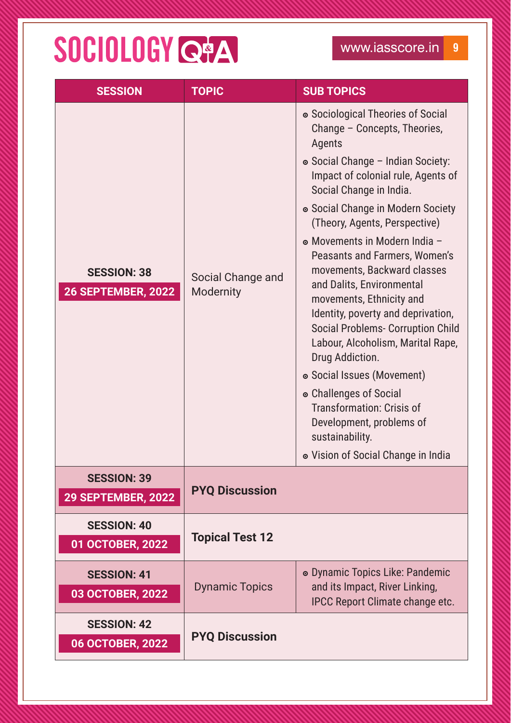## SOCIOLOGY Q#A

| <b>SESSION</b>                                  | <b>TOPIC</b>                   | <b>SUB TOPICS</b>                                                                                                                                                                                                                                                                                                                                                                                                                                                                                                                                                                                                                                                                                                                            |
|-------------------------------------------------|--------------------------------|----------------------------------------------------------------------------------------------------------------------------------------------------------------------------------------------------------------------------------------------------------------------------------------------------------------------------------------------------------------------------------------------------------------------------------------------------------------------------------------------------------------------------------------------------------------------------------------------------------------------------------------------------------------------------------------------------------------------------------------------|
| <b>SESSION: 38</b><br><b>26 SEPTEMBER, 2022</b> | Social Change and<br>Modernity | • Sociological Theories of Social<br>Change - Concepts, Theories,<br>Agents<br>• Social Change - Indian Society:<br>Impact of colonial rule, Agents of<br>Social Change in India.<br>• Social Change in Modern Society<br>(Theory, Agents, Perspective)<br>• Movements in Modern India -<br>Peasants and Farmers, Women's<br>movements, Backward classes<br>and Dalits, Environmental<br>movements, Ethnicity and<br>Identity, poverty and deprivation,<br><b>Social Problems- Corruption Child</b><br>Labour, Alcoholism, Marital Rape,<br>Drug Addiction.<br>• Social Issues (Movement)<br>• Challenges of Social<br><b>Transformation: Crisis of</b><br>Development, problems of<br>sustainability.<br>• Vision of Social Change in India |
| <b>SESSION: 39</b><br><b>29 SEPTEMBER, 2022</b> | <b>PYQ Discussion</b>          |                                                                                                                                                                                                                                                                                                                                                                                                                                                                                                                                                                                                                                                                                                                                              |
| <b>SESSION: 40</b><br>01 OCTOBER, 2022          | <b>Topical Test 12</b>         |                                                                                                                                                                                                                                                                                                                                                                                                                                                                                                                                                                                                                                                                                                                                              |
| <b>SESSION: 41</b><br>03 OCTOBER, 2022          | <b>Dynamic Topics</b>          | • Dynamic Topics Like: Pandemic<br>and its Impact, River Linking,<br><b>IPCC Report Climate change etc.</b>                                                                                                                                                                                                                                                                                                                                                                                                                                                                                                                                                                                                                                  |
| <b>SESSION: 42</b><br>06 OCTOBER, 2022          | <b>PYQ Discussion</b>          |                                                                                                                                                                                                                                                                                                                                                                                                                                                                                                                                                                                                                                                                                                                                              |